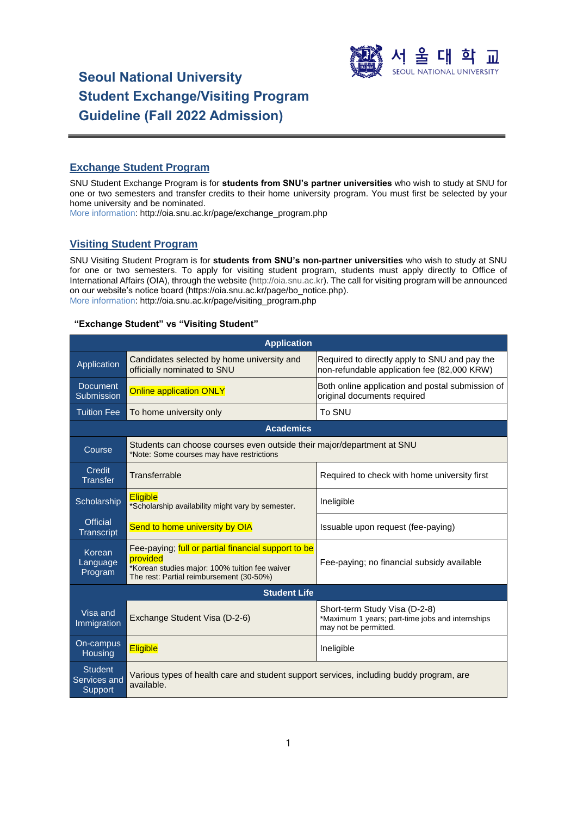

# **Seoul National University Student Exchange/Visiting Program Guideline (Fall 2022 Admission)**

# **Exchange Student Program**

SNU Student Exchange Program is for **students from SNU's partner universities** who wish to study at SNU for one or two semesters and transfer credits to their home university program. You must first be selected by your home university and be nominated.

More information: [http://oia.snu.ac.kr/page/exchange\\_program.php](http://oia.snu.ac.kr/page/exchange_program.php)

# **Visiting Student Program**

SNU Visiting Student Program is for **students from SNU's non-partner universities** who wish to study at SNU for one or two semesters. To apply for visiting student program, students must apply directly to Office of International Affairs (OIA), through the website [\(http://oia.snu.ac.kr\)](http://oia.snu.ac.kr/). The call for visiting program will be announced on our website's notice board (https://oia.snu.ac.kr/page/bo\_notice.php). More information: [http://oia.snu.ac.kr/page/visiting\\_program.php](http://oia.snu.ac.kr/page/visiting_program.php)

# **"Exchange Student" vs "Visiting Student"**

| <b>Application</b>                        |                                                                                                                                                                                                             |                                                                                                            |  |  |
|-------------------------------------------|-------------------------------------------------------------------------------------------------------------------------------------------------------------------------------------------------------------|------------------------------------------------------------------------------------------------------------|--|--|
| Application                               | Candidates selected by home university and<br>Required to directly apply to SNU and pay the<br>officially nominated to SNU<br>non-refundable application fee (82,000 KRW)                                   |                                                                                                            |  |  |
| <b>Document</b><br>Submission             | <b>Online application ONLY</b>                                                                                                                                                                              | Both online application and postal submission of<br>original documents required                            |  |  |
| <b>Tuition Fee</b>                        | To SNU<br>To home university only                                                                                                                                                                           |                                                                                                            |  |  |
|                                           | <b>Academics</b>                                                                                                                                                                                            |                                                                                                            |  |  |
| Course                                    | Students can choose courses even outside their major/department at SNU<br>*Note: Some courses may have restrictions                                                                                         |                                                                                                            |  |  |
| Credit<br><b>Transfer</b>                 | Transferrable                                                                                                                                                                                               | Required to check with home university first                                                               |  |  |
| Scholarship                               | <b>Eligible</b><br>*Scholarship availability might vary by semester.                                                                                                                                        | Ineligible                                                                                                 |  |  |
| <b>Official</b><br>Transcript             | Send to home university by OIA<br>Issuable upon request (fee-paying)                                                                                                                                        |                                                                                                            |  |  |
| Korean<br>Language<br>Program             | Fee-paying; full or partial financial support to be<br>provided<br>Fee-paying; no financial subsidy available<br>*Korean studies major: 100% tuition fee waiver<br>The rest: Partial reimbursement (30-50%) |                                                                                                            |  |  |
| <b>Student Life</b>                       |                                                                                                                                                                                                             |                                                                                                            |  |  |
| Visa and<br>Immigration                   | Exchange Student Visa (D-2-6)                                                                                                                                                                               | Short-term Study Visa (D-2-8)<br>*Maximum 1 years; part-time jobs and internships<br>may not be permitted. |  |  |
| On-campus<br>Housing                      | <b>Eligible</b>                                                                                                                                                                                             | Ineligible                                                                                                 |  |  |
| <b>Student</b><br>Services and<br>Support | Various types of health care and student support services, including buddy program, are<br>available.                                                                                                       |                                                                                                            |  |  |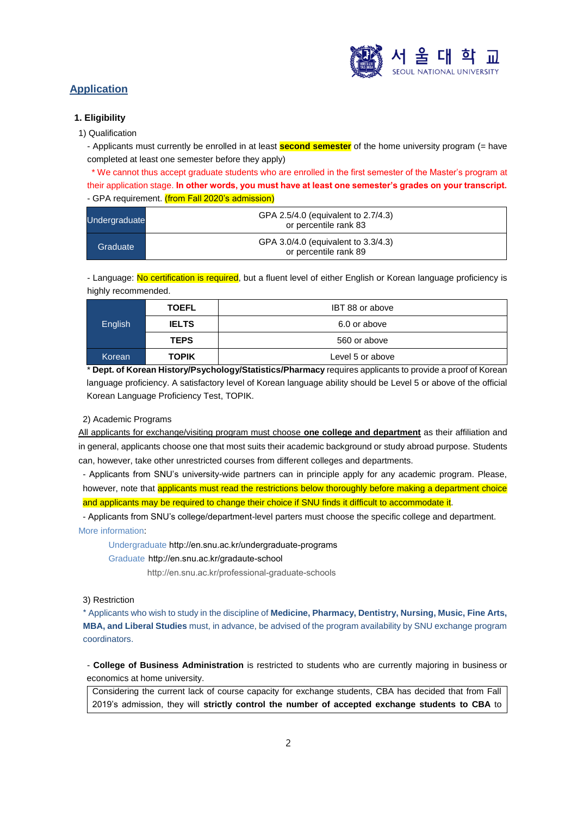

# **Application**

# **1. Eligibility**

1) Qualification

- Applicants must currently be enrolled in at least **second semester** of the home university program (= have completed at least one semester before they apply)

\* We cannot thus accept graduate students who are enrolled in the first semester of the Master's program at their application stage. **In other words, you must have at least one semester's grades on your transcript.** - GPA requirement. (from Fall 2020's admission)

| Undergraduate | GPA 2.5/4.0 (equivalent to 2.7/4.3)<br>or percentile rank 83 |  |
|---------------|--------------------------------------------------------------|--|
| Graduate      | GPA 3.0/4.0 (equivalent to 3.3/4.3)<br>or percentile rank 89 |  |

- Language: No certification is required, but a fluent level of either English or Korean language proficiency is highly recommended.

| English | <b>TOEFL</b> | IBT 88 or above  |  |
|---------|--------------|------------------|--|
|         | <b>IELTS</b> | 6.0 or above     |  |
|         | <b>TEPS</b>  | 560 or above     |  |
| Korean  | <b>TOPIK</b> | Level 5 or above |  |

\* **Dept. of Korean History/Psychology/Statistics/Pharmacy** requires applicants to provide a proof of Korean language proficiency. A satisfactory level of Korean language ability should be Level 5 or above of the official Korean Language Proficiency Test, TOPIK.

# 2) Academic Programs

All applicants for exchange/visiting program must choose **one college and department** as their affiliation and in general, applicants choose one that most suits their academic background or study abroad purpose. Students can, however, take other unrestricted courses from different colleges and departments.

- Applicants from SNU's university-wide partners can in principle apply for any academic program. Please, however, note that applicants must read the restrictions below thoroughly before making a department choice and applicants may be required to change their choice if SNU finds it difficult to accommodate it.

- Applicants from SNU's college/department-level parters must choose the specific college and department. More information:

Undergraduat[e http://en.snu.ac.kr/undergraduate-programs](http://en.snu.ac.kr/undergraduate-programs%20/) 

Graduate [http://en.snu.ac.kr/gradaute-school](http://en.snu.ac.kr/gradaute-school%20/)

<http://en.snu.ac.kr/professional-graduate-schools>

3) Restriction

\* Applicants who wish to study in the discipline of **Medicine, Pharmacy, Dentistry, Nursing, Music, Fine Arts, MBA, and Liberal Studies** must, in advance, be advised of the program availability by SNU exchange program coordinators.

- **College of Business Administration** is restricted to students who are currently majoring in business or economics at home university.

Considering the current lack of course capacity for exchange students, CBA has decided that from Fall 2019's admission, they will **strictly control the number of accepted exchange students to CBA** to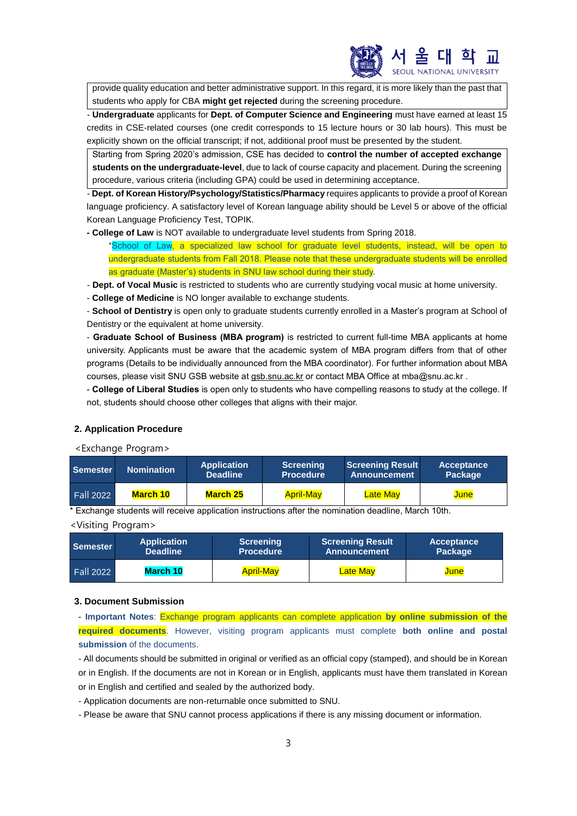

provide quality education and better administrative support. In this regard, it is more likely than the past that students who apply for CBA **might get rejected** during the screening procedure.

- **Undergraduate** applicants for **Dept. of Computer Science and Engineering** must have earned at least 15 credits in CSE-related courses (one credit corresponds to 15 lecture hours or 30 lab hours). This must be explicitly shown on the official transcript; if not, additional proof must be presented by the student.

Starting from Spring 2020's admission, CSE has decided to **control the number of accepted exchange students on the undergraduate-level**, due to lack of course capacity and placement. During the screening procedure, various criteria (including GPA) could be used in determining acceptance.

- **Dept. of Korean History/Psychology/Statistics/Pharmacy** requires applicants to provide a proof of Korean language proficiency. A satisfactory level of Korean language ability should be Level 5 or above of the official Korean Language Proficiency Test, TOPIK.

**- College of Law** is NOT available to undergraduate level students from Spring 2018.

\*School of Law, a specialized law school for graduate level students, instead, will be open to undergraduate students from Fall 2018. Please note that these undergraduate students will be enrolled as graduate (Master's) students in SNU law school during their study.

- **Dept. of Vocal Music** is restricted to students who are currently studying vocal music at home university.
- **College of Medicine** is NO longer available to exchange students.

- **School of Dentistry** is open only to graduate students currently enrolled in a Master's program at School of Dentistry or the equivalent at home university.

- **Graduate School of Business (MBA program)** is restricted to current full-time MBA applicants at home university. Applicants must be aware that the academic system of MBA program differs from that of other programs (Details to be individually announced from the MBA coordinator). For further information about MBA courses, please visit SNU GSB website at gsb.snu.ac.kr or contact MBA Office a[t mba@snu.ac.kr](mailto:mba@snu.ac.kr).

- **College of Liberal Studies** is open only to students who have compelling reasons to study at the college. If not, students should choose other colleges that aligns with their major.

# **2. Application Procedure**

<Exchange Program>

| <b>Semester</b>  | <b>Nomination</b> | <b>Application</b><br><b>Deadline</b> | Screening<br><b>Procedure</b> | Screening Result<br>Announcement | Acceptance<br>Package |
|------------------|-------------------|---------------------------------------|-------------------------------|----------------------------------|-----------------------|
| <b>Fall 2022</b> | March 10          | <b>March 25</b>                       | <b>April-May</b>              | <b>Late May</b>                  | June                  |

\* Exchange students will receive application instructions after the nomination deadline, March 10th.

# <Visiting Program>

| <b>Semester</b>  | <b>Application</b> | <b>Screening</b> | <b>Screening Result</b> | Acceptance |
|------------------|--------------------|------------------|-------------------------|------------|
|                  | <b>Deadline</b>    | <b>Procedure</b> | <b>Announcement</b>     | Package    |
| <b>Fall 2022</b> | March 10           | <b>April-May</b> | <b>Late May</b>         | June       |

#### **3. Document Submission**

**- Important Notes**: Exchange program applicants can complete application **by online submission of the required documents**. However, visiting program applicants must complete **both online and postal submission** of the documents.

- All documents should be submitted in original or verified as an official copy (stamped), and should be in Korean or in English. If the documents are not in Korean or in English, applicants must have them translated in Korean or in English and certified and sealed by the authorized body.

- Application documents are non-returnable once submitted to SNU.

- Please be aware that SNU cannot process applications if there is any missing document or information.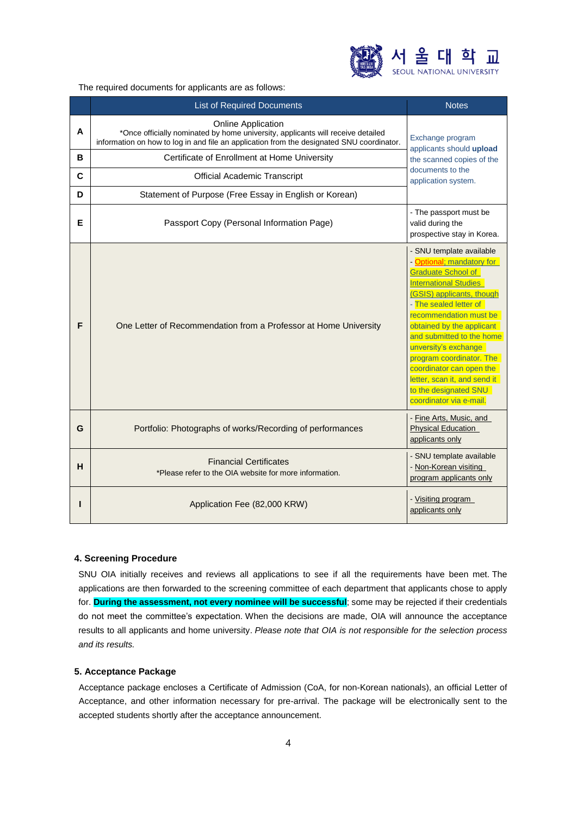

The required documents for applicants are as follows:

|   | <b>List of Required Documents</b>                                                                                                                                                                         | <b>Notes</b>                                                                                                                                                                                                                                                                                                                                                                                                               |  |
|---|-----------------------------------------------------------------------------------------------------------------------------------------------------------------------------------------------------------|----------------------------------------------------------------------------------------------------------------------------------------------------------------------------------------------------------------------------------------------------------------------------------------------------------------------------------------------------------------------------------------------------------------------------|--|
| A | <b>Online Application</b><br>*Once officially nominated by home university, applicants will receive detailed<br>information on how to log in and file an application from the designated SNU coordinator. | Exchange program<br>applicants should upload                                                                                                                                                                                                                                                                                                                                                                               |  |
| в | Certificate of Enrollment at Home University                                                                                                                                                              | the scanned copies of the                                                                                                                                                                                                                                                                                                                                                                                                  |  |
| C | <b>Official Academic Transcript</b>                                                                                                                                                                       | documents to the<br>application system.                                                                                                                                                                                                                                                                                                                                                                                    |  |
| D | Statement of Purpose (Free Essay in English or Korean)                                                                                                                                                    |                                                                                                                                                                                                                                                                                                                                                                                                                            |  |
| Е | Passport Copy (Personal Information Page)                                                                                                                                                                 | - The passport must be<br>valid during the<br>prospective stay in Korea.                                                                                                                                                                                                                                                                                                                                                   |  |
| F | One Letter of Recommendation from a Professor at Home University                                                                                                                                          | - SNU template available<br>- Optional; mandatory for<br>Graduate School of<br><b>International Studies</b><br>(GSIS) applicants, though<br>- The sealed letter of<br>recommendation must be<br>obtained by the applicant<br>and submitted to the home<br>unversity's exchange<br>program coordinator. The<br>coordinator can open the<br>letter, scan it, and send it<br>to the designated SNU<br>coordinator via e-mail. |  |
| G | Portfolio: Photographs of works/Recording of performances                                                                                                                                                 | - Fine Arts, Music, and<br><b>Physical Education</b><br>applicants only                                                                                                                                                                                                                                                                                                                                                    |  |
| н | <b>Financial Certificates</b><br>*Please refer to the OIA website for more information.                                                                                                                   | - SNU template available<br>- Non-Korean visiting<br>program applicants only                                                                                                                                                                                                                                                                                                                                               |  |
|   | Application Fee (82,000 KRW)                                                                                                                                                                              | - Visiting program<br>applicants only                                                                                                                                                                                                                                                                                                                                                                                      |  |

## **4. Screening Procedure**

SNU OIA initially receives and reviews all applications to see if all the requirements have been met. The applications are then forwarded to the screening committee of each department that applicants chose to apply for. **During the assessment, not every nominee will be successful**; some may be rejected if their credentials do not meet the committee's expectation. When the decisions are made, OIA will announce the acceptance results to all applicants and home university. *Please note that OIA is not responsible for the selection process and its results.*

#### **5. Acceptance Package**

Acceptance package encloses a Certificate of Admission (CoA, for non-Korean nationals), an official Letter of Acceptance, and other information necessary for pre-arrival. The package will be electronically sent to the accepted students shortly after the acceptance announcement.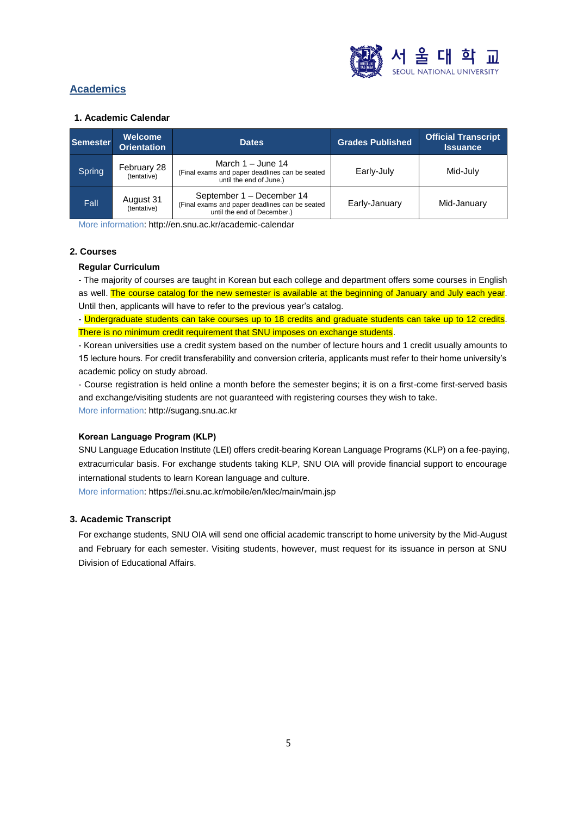

# **Academics**

## **1. Academic Calendar**

| Semester | <b>Welcome</b><br><b>Orientation</b> | <b>Dates</b>                                                                                               | <b>Grades Published</b> | <b>Official Transcript</b><br><b>Issuance</b> |
|----------|--------------------------------------|------------------------------------------------------------------------------------------------------------|-------------------------|-----------------------------------------------|
| Spring   | February 28<br>(tentative)           | March $1 -$ June 14<br>(Final exams and paper deadlines can be seated<br>until the end of June.)           | Early-July              | Mid-July                                      |
| Fall     | August 31<br>(tentative)             | September 1 - December 14<br>(Final exams and paper deadlines can be seated<br>until the end of December.) | Early-January           | Mid-January                                   |

More information[: http://en.snu.ac.kr/academic-calendar](http://en.snu.ac.kr/academic-calendar)

# **2. Courses**

# **Regular Curriculum**

- The majority of courses are taught in Korean but each college and department offers some courses in English as well. The course catalog for the new semester is available at the beginning of January and July each year. Until then, applicants will have to refer to the previous year's catalog.

- Undergraduate students can take courses up to 18 credits and graduate students can take up to 12 credits. There is no minimum credit requirement that SNU imposes on exchange students.

- Korean universities use a credit system based on the number of lecture hours and 1 credit usually amounts to 15 lecture hours. For credit transferability and conversion criteria, applicants must refer to their home university's academic policy on study abroad.

- Course registration is held online a month before the semester begins; it is on a first-come first-served basis and exchange/visiting students are not guaranteed with registering courses they wish to take. More information: [http://sugang.snu.ac.kr](http://sugang.snu.ac.kr/)

# **Korean Language Program (KLP)**

SNU Language Education Institute (LEI) offers credit-bearing Korean Language Programs (KLP) on a fee-paying, extracurricular basis. For exchange students taking KLP, SNU OIA will provide financial support to encourage international students to learn Korean language and culture.

More information: <https://lei.snu.ac.kr/mobile/en/klec/main/main.jsp>

# **3. Academic Transcript**

For exchange students, SNU OIA will send one official academic transcript to home university by the Mid-August and February for each semester. Visiting students, however, must request for its issuance in person at SNU Division of Educational Affairs.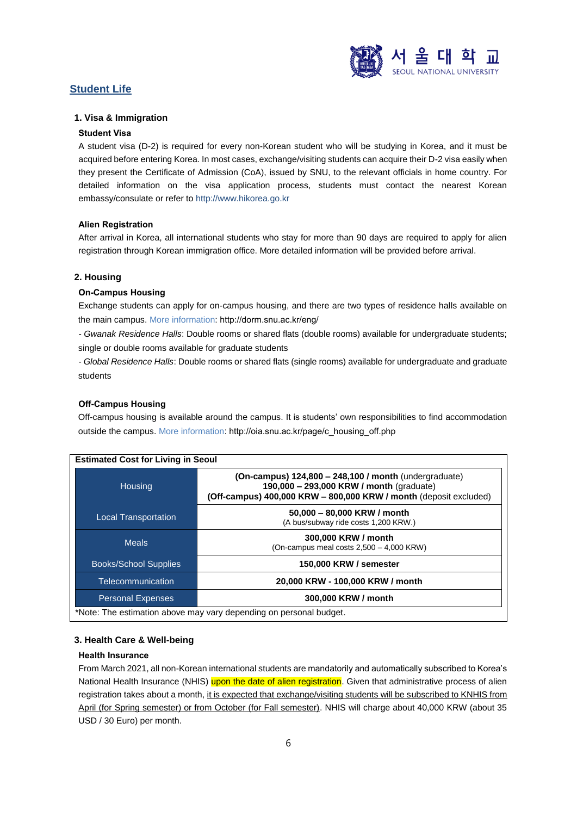

# **Student Life**

# **1. Visa & Immigration**

#### **Student Visa**

A student visa (D-2) is required for every non-Korean student who will be studying in Korea, and it must be acquired before entering Korea. In most cases, exchange/visiting students can acquire their D-2 visa easily when they present the Certificate of Admission (CoA), issued by SNU, to the relevant officials in home country. For detailed information on the visa application process, students must contact the nearest Korean embassy/consulate or refer to [http://www.hikorea.go.kr](http://www.hikorea.go.kr/)

#### **Alien Registration**

After arrival in Korea, all international students who stay for more than 90 days are required to apply for alien registration through Korean immigration office. More detailed information will be provided before arrival.

## **2. Housing**

## **On-Campus Housing**

Exchange students can apply for on-campus housing, and there are two types of residence halls available on the main campus. More information: <http://dorm.snu.ac.kr/eng/>

*- Gwanak Residence Halls*: Double rooms or shared flats (double rooms) available for undergraduate students; single or double rooms available for graduate students

*- Global Residence Halls*: Double rooms or shared flats (single rooms) available for undergraduate and graduate students

## **Off-Campus Housing**

Off-campus housing is available around the campus. It is students' own responsibilities to find accommodation outside the campus. More information: [http://oia.snu.ac.kr/page/c\\_housing\\_off.php](http://oia.snu.ac.kr/page/c_housing_off.php)

| <b>Estimated Cost for Living in Seoul</b>                          |                                                                                                                                                                        |  |  |
|--------------------------------------------------------------------|------------------------------------------------------------------------------------------------------------------------------------------------------------------------|--|--|
| Housing                                                            | (On-campus) 124,800 - 248,100 / month (undergraduate)<br>190,000 - 293,000 KRW / month (graduate)<br>(Off-campus) 400,000 KRW - 800,000 KRW / month (deposit excluded) |  |  |
| <b>Local Transportation</b>                                        | 50,000 - 80,000 KRW / month<br>(A bus/subway ride costs 1,200 KRW.)                                                                                                    |  |  |
| <b>Meals</b>                                                       | 300,000 KRW / month<br>(On-campus meal costs $2,500 - 4,000$ KRW)                                                                                                      |  |  |
| <b>Books/School Supplies</b>                                       | 150,000 KRW / semester                                                                                                                                                 |  |  |
| Telecommunication                                                  | 20,000 KRW - 100,000 KRW / month                                                                                                                                       |  |  |
| <b>Personal Expenses</b>                                           | 300,000 KRW / month                                                                                                                                                    |  |  |
| *Note: The estimation above may vary depending on personal budget. |                                                                                                                                                                        |  |  |

#### **3. Health Care & Well-being**

#### **Health Insurance**

From March 2021, all non-Korean international students are mandatorily and automatically subscribed to Korea's National Health Insurance (NHIS) upon the date of alien registration. Given that administrative process of alien registration takes about a month, it is expected that exchange/visiting students will be subscribed to KNHIS from April (for Spring semester) or from October (for Fall semester). NHIS will charge about 40,000 KRW (about 35 USD / 30 Euro) per month.